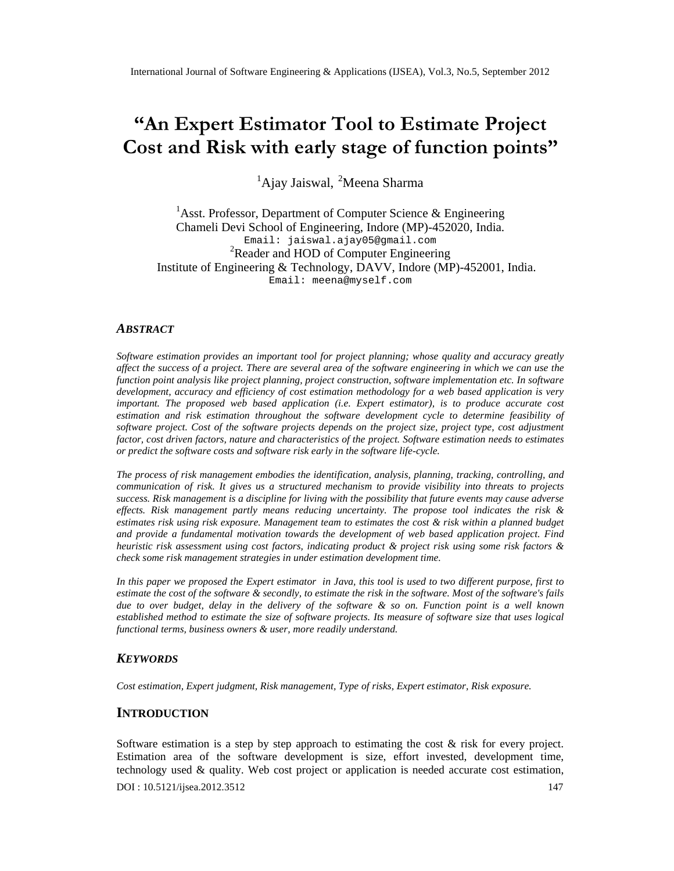# An  $E \times p$  ert  $E$  still to  $p$  and  $p$  or  $E$  times are projected in  $E$ Cost ants KWR th early stuan gree in only boints

<sup>1</sup>Ajay Jaiswal <sup>2</sup>Meena Sharma

# <sup>1</sup>Asst. ProfessorDepartment of Computer Science & Engineering Chameli Devi School of Engineering, Indore (MP32020 India. Email: jaiswal.aja[y05@gmail.com](mailto:ajay05@gmail.com) <sup>2</sup>Reader and HOD of Computer Engineering Institute ofEngineering & TechnologyDAVV, Indore (MP)-452001, India. Email: [meena@myself.c](mailto:meena@myself.com) om

# **ABSTRACT**

Software estimation provides an important tool for project planning; whose quality and accuracy greatly affect the success of a projethere are several area of the software engineering in which we can use t function point analysiske project planning, project construction, software implementation etc. In software development, accuracy and efficiency of cost estimation methodology for a web based application is very important. The proposed web based application (iE expert estimator is to produce accurate cost estimation and risk estimation throughout the software development cycle to determine feasibility of software project. Cost of the software projects depends on the project size, project type, cost adjustment factor, cost drive factors, nature and characteristics of the project. Software estimation needs to estimates or predict the software costs and software risk early in the software life.

The process of risk management embodies the identification, analysis, plararching, controlling, and communication of risk. It gives us a structured mechanism to provide visibility into threats to projects success. Risk management is a discipline for living with the possibility that future events may cause adverse effects. Riskmanagement partly means reducing uncertainthe propose tool indicates the risk & estimates risk using risk exposure. Management team to estimates the cost & risk within a planned budget and provide a fundamental motivation towards the development **to based** application projectind heuristic risk assessment using cost factors, indicating product & project risk using some risk factors & check some risk management strategies in under estimation development time.

In this paper we proposed the expert estimator in Java, this tool is used to two different purpose, first to estimate the cost of the software & secondly, to estimate the risk in the software. Most of the software's fails due to over budget, delay in the delivery of the software & so on. tibunpoint is a well known established method to estimate the size of software projects. Its measure of software size that uses logical functional terms, business owners & user, more readily understand.

## **KEYWORDS**

Cost estimation, Expert jundhent, Risk mangement Type of risks Expert estimator Riskexposure.

# **INTRODUCTION**

Software estimation is a step by step approach to estimating the cost & risk for every project. Estimation area of the software development is size, effort invested, development time, technology used & quality. Web cost project or application is needed accurate cost estimation,

DOI : 10.5121/ijsea.2012.3512 147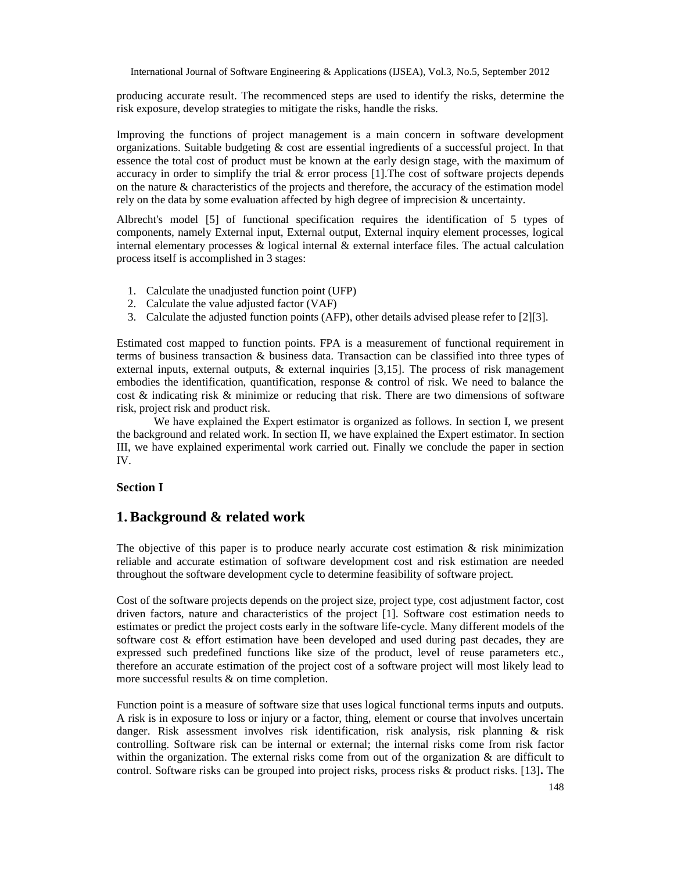producing accurate result. The recommenced steps are used to identify the risks, determine the risk exposure, develop strategies to mitigate the risks, handle the risks.

Improving the functions of project management is a main concern in software development organizations. Suitable budgeting  $\&$  cost are essential ingredients of a successful project. In that essence the total cost of product must be known at the early design stage, with the maximum of accuracy in order to simplify the trial  $\&$  error process [1]. The cost of software projects depends on the nature & characteristics of the projects and therefore, the accuracy of the estimation model rely on the data by some evaluation affected by high degree of imprecision & uncertainty.

Albrecht's model [5] of functional specification requires the identification of 5 types of components, namely External input, External output, External inquiry element processes, logical internal elementary processes  $\&$  logical internal  $\&$  external interface files. The actual calculation process itself is accomplished in 3 stages:

- 1. Calculate the unadjusted function point (UFP)
- 2. Calculate the value adjusted factor (VAF)
- 3. Calculate the adjusted function points (AFP), other details advised please refer to [2][3].

Estimated cost mapped to function points. FPA is a measurement of functional requirement in terms of business transaction & business data. Transaction can be classified into three types of external inputs, external outputs,  $\&$  external inquiries [3,15]. The process of risk management embodies the identification, quantification, response & control of risk. We need to balance the cost & indicating risk & minimize or reducing that risk. There are two dimensions of software risk, project risk and product risk.

We have explained the Expert estimator is organized as follows. In section I, we present the background and related work. In section II, we have explained the Expert estimator. In section III, we have explained experimental work carried out. Finally we conclude the paper in section IV.

## **Section I**

# **1. Background & related work**

The objective of this paper is to produce nearly accurate cost estimation  $\&$  risk minimization reliable and accurate estimation of software development cost and risk estimation are needed throughout the software development cycle to determine feasibility of software project.

Cost of the software projects depends on the project size, project type, cost adjustment factor, cost driven factors, nature and characteristics of the project [1]. Software cost estimation needs to estimates or predict the project costs early in the software life-cycle. Many different models of the software cost & effort estimation have been developed and used during past decades, they are expressed such predefined functions like size of the product, level of reuse parameters etc., therefore an accurate estimation of the project cost of a software project will most likely lead to more successful results & on time completion.

Function point is a measure of software size that uses logical functional terms inputs and outputs. A risk is in exposure to loss or injury or a factor, thing, element or course that involves uncertain danger. Risk assessment involves risk identification, risk analysis, risk planning & risk controlling. Software risk can be internal or external; the internal risks come from risk factor within the organization. The external risks come from out of the organization  $\&$  are difficult to control. Software risks can be grouped into project risks, process risks & product risks. [13]**.** The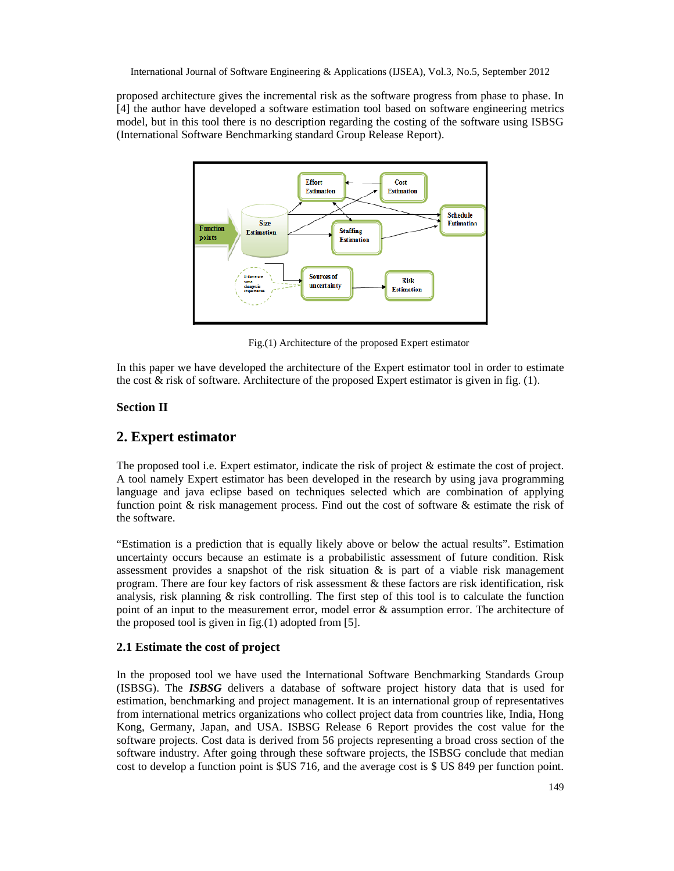proposed architecture gives the incremental risk as the software progress from phase to phase. In [4] the author have developed a software estimation tool based on software engineering metrics model, but in this tool there is no description regarding the costing of the software using ISBSG (International Software Benchmarking standard Group Release Report).



Fig.(1) Architecture of the proposed Expert estimator

In this paper we have developed the architecture of the Expert estimator tool in order to estimate the cost & risk of software. Architecture of the proposed Expert estimator is given in fig. (1).

# **Section II**

# **2. Expert estimator**

The proposed tool i.e. Expert estimator, indicate the risk of project & estimate the cost of project. A tool namely Expert estimator has been developed in the research by using java programming language and java eclipse based on techniques selected which are combination of applying function point & risk management process. Find out the cost of software & estimate the risk of the software.

"Estimation is a prediction that is equally likely above or below the actual results". Estimation uncertainty occurs because an estimate is a probabilistic assessment of future condition. Risk assessment provides a snapshot of the risk situation  $\&$  is part of a viable risk management program. There are four key factors of risk assessment & these factors are risk identification, risk analysis, risk planning & risk controlling. The first step of this tool is to calculate the function point of an input to the measurement error, model error & assumption error. The architecture of the proposed tool is given in fig.(1) adopted from [5].

## **2.1 Estimate the cost of project**

In the proposed tool we have used the International Software Benchmarking Standards Group (ISBSG). The *ISBSG* delivers a database of software project history data that is used for estimation, benchmarking and project management. It is an international group of representatives from international metrics organizations who collect project data from countries like, India, Hong Kong, Germany, Japan, and USA. ISBSG Release 6 Report provides the cost value for the software projects. Cost data is derived from 56 projects representing a broad cross section of the software industry. After going through these software projects, the ISBSG conclude that median cost to develop a function point is \$US 716, and the average cost is \$ US 849 per function point.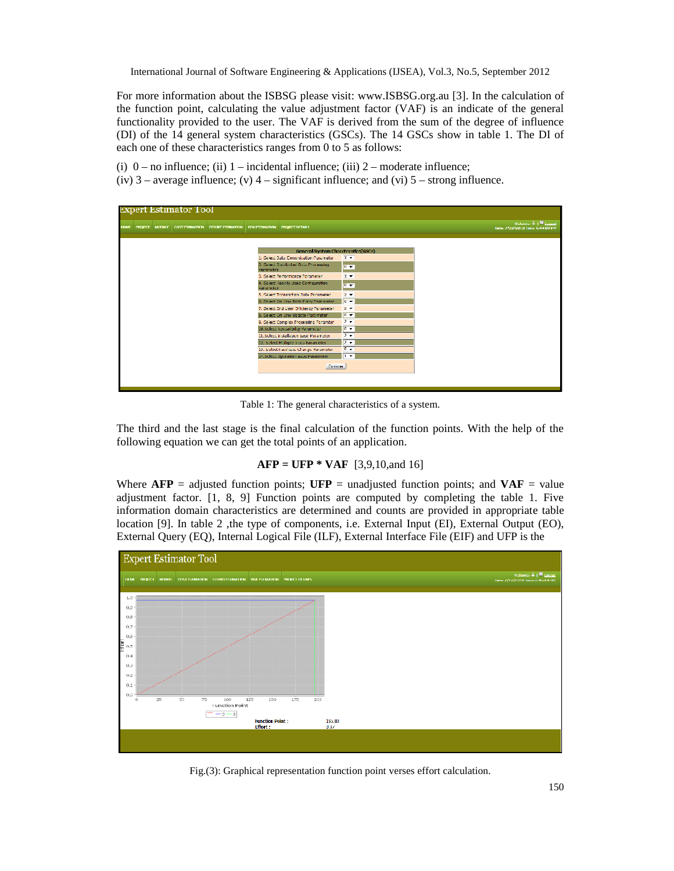For more information about the ISBSG please visity. ISBSG.org.au[3]. In the calculation of the function point, alculating the value adjustment factor (VAF) is an indicate of the general functionality provided to the user. The VAF is derived from the sum of the degree of influence (DI) of the 14 general system characteristics (GSCs). The 14 GSCs show in table D1. of he each one of these characteristics ranges from 0 to 5 as follows:

(i)  $0$ , no influence;(ii) 1, incidental influence; $(i)$  2, moderate influence;

(iv) 3, average influence(y) 4, significant influence; and vi) 5, strong influence.

Table 1: The general characteristics of a system.

The third and the last stage is the final calculation of the function points. With the help of the following equation we can get the total points of an application.

AFP = UFP \* VAF [3,9,10,and 16]

Where AFP = adjusted function points:  $V =$  unadjusted function points; and  $V =$  value adjustment factor. [1, 8, 9] Function points are computed by completing the table 1. Five information domain characteristics are determined and counts are provided in appropolent location [9]. In table 2, the type of components, i.e. External Input (EI), External Output (EO), External Query (EQ), Internal Logical File (ILF), External Interface File (EIF) and UFP is the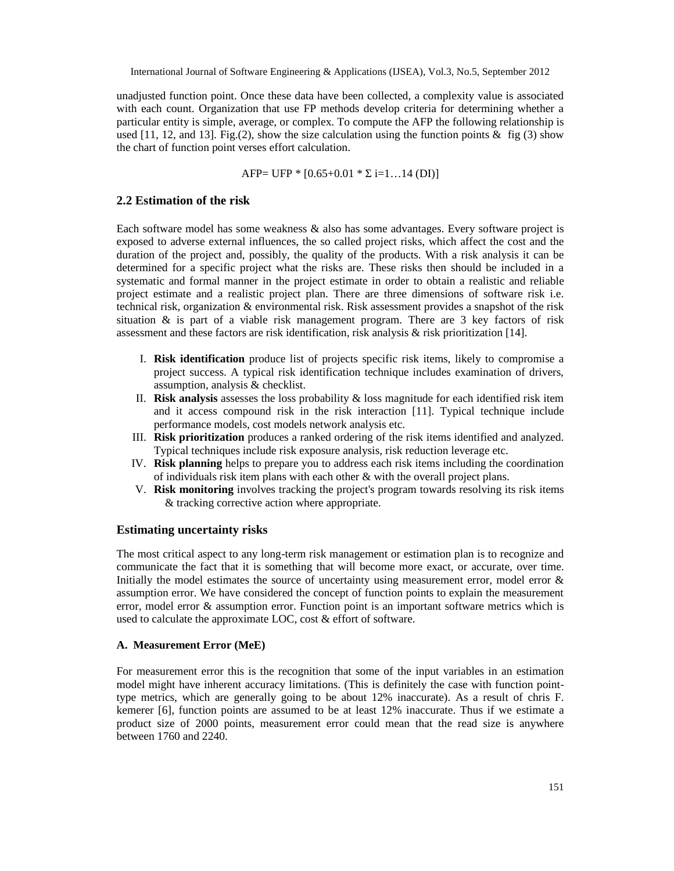unadjusted function point. Once these data have been collected, a complexity value is associated with each count. Organization that use FP methods develop criteria for determining whether a particular entity is simple, average, or complex. To compute the AFP the following relationship is used [11, 12, and 13]. Fig.(2), show the size calculation using the function points  $\&$  fig (3) show the chart of function point verses effort calculation.

AFP= UFP  $*$  [0.65+0.01  $*$  i=1...14 (DI)]

## **2.2 Estimation of the risk**

Each software model has some weakness & also has some advantages. Every software project is exposed to adverse external influences, the so called project risks, which affect the cost and the duration of the project and, possibly, the quality of the products. With a risk analysis it can be determined for a specific project what the risks are. These risks then should be included in a systematic and formal manner in the project estimate in order to obtain a realistic and reliable project estimate and a realistic project plan. There are three dimensions of software risk i.e. technical risk, organization & environmental risk. Risk assessment provides a snapshot of the risk situation  $\&$  is part of a viable risk management program. There are 3 key factors of risk assessment and these factors are risk identification, risk analysis & risk prioritization [14].

- I. **Risk identification** produce list of projects specific risk items, likely to compromise a project success. A typical risk identification technique includes examination of drivers, assumption, analysis & checklist.
- II. **Risk analysis** assesses the loss probability & loss magnitude for each identified risk item and it access compound risk in the risk interaction [11]. Typical technique include performance models, cost models network analysis etc.
- III. **Risk prioritization** produces a ranked ordering of the risk items identified and analyzed. Typical techniques include risk exposure analysis, risk reduction leverage etc.
- IV. **Risk planning** helps to prepare you to address each risk items including the coordination of individuals risk item plans with each other & with the overall project plans.
- V. **Risk monitoring** involves tracking the project's program towards resolving its risk items & tracking corrective action where appropriate.

## **Estimating uncertainty risks**

The most critical aspect to any long-term risk management or estimation plan is to recognize and communicate the fact that it is something that will become more exact, or accurate, over time. Initially the model estimates the source of uncertainty using measurement error, model error  $\&$ assumption error. We have considered the concept of function points to explain the measurement error, model error & assumption error. Function point is an important software metrics which is used to calculate the approximate LOC, cost & effort of software.

#### **A. Measurement Error (MeE)**

For measurement error this is the recognition that some of the input variables in an estimation model might have inherent accuracy limitations. (This is definitely the case with function pointtype metrics, which are generally going to be about 12% inaccurate). As a result of chris F. kemerer [6], function points are assumed to be at least 12% inaccurate. Thus if we estimate a product size of 2000 points, measurement error could mean that the read size is anywhere between 1760 and 2240.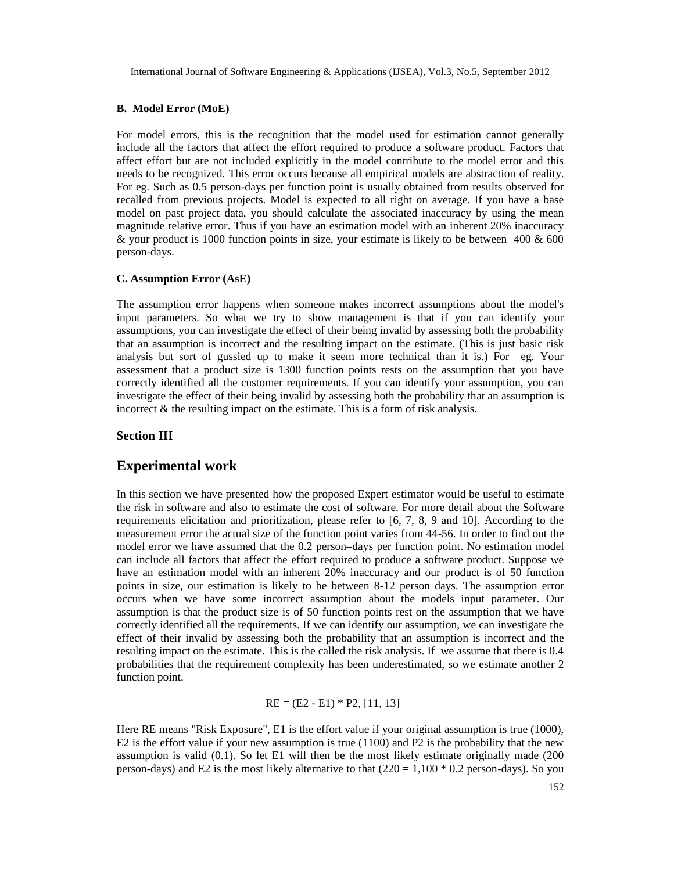## **B. Model Error (MoE)**

For model errors, this is the recognition that the model used for estimation cannot generally include all the factors that affect the effort required to produce a software product. Factors that affect effort but are not included explicitly in the model contribute to the model error and this needs to be recognized. This error occurs because all empirical models are abstraction of reality. For eg. Such as 0.5 person-days per function point is usually obtained from results observed for recalled from previous projects. Model is expected to all right on average. If you have a base model on past project data, you should calculate the associated inaccuracy by using the mean magnitude relative error. Thus if you have an estimation model with an inherent 20% inaccuracy & your product is 1000 function points in size, your estimate is likely to be between 400 & 600 person-days.

## **C. Assumption Error (AsE)**

The assumption error happens when someone makes incorrect assumptions about the model's input parameters. So what we try to show management is that if you can identify your assumptions, you can investigate the effect of their being invalid by assessing both the probability that an assumption is incorrect and the resulting impact on the estimate. (This is just basic risk analysis but sort of gussied up to make it seem more technical than it is.) For eg. Your assessment that a product size is 1300 function points rests on the assumption that you have correctly identified all the customer requirements. If you can identify your assumption, you can investigate the effect of their being invalid by assessing both the probability that an assumption is incorrect & the resulting impact on the estimate. This is a form of risk analysis.

## **Section III**

# **Experimental work**

In this section we have presented how the proposed Expert estimator would be useful to estimate the risk in software and also to estimate the cost of software. For more detail about the Software requirements elicitation and prioritization, please refer to [6, 7, 8, 9 and 10]. According to the measurement error the actual size of the function point varies from 44-56. In order to find out the model error we have assumed that the 0.2 person–days per function point. No estimation model can include all factors that affect the effort required to produce a software product. Suppose we have an estimation model with an inherent 20% inaccuracy and our product is of 50 function points in size, our estimation is likely to be between 8-12 person days. The assumption error occurs when we have some incorrect assumption about the models input parameter. Our assumption is that the product size is of 50 function points rest on the assumption that we have correctly identified all the requirements. If we can identify our assumption, we can investigate the effect of their invalid by assessing both the probability that an assumption is incorrect and the resulting impact on the estimate. This is the called the risk analysis. If we assume that there is 0.4 probabilities that the requirement complexity has been underestimated, so we estimate another 2 function point.

$$
RE = (E2 - E1) * P2, [11, 13]
$$

Here RE means "Risk Exposure", E1 is the effort value if your original assumption is true (1000), E2 is the effort value if your new assumption is true  $(1100)$  and P2 is the probability that the new assumption is valid (0.1). So let E1 will then be the most likely estimate originally made (200 person-days) and E2 is the most likely alternative to that  $(220 = 1,100 \times 0.2)$  person-days). So you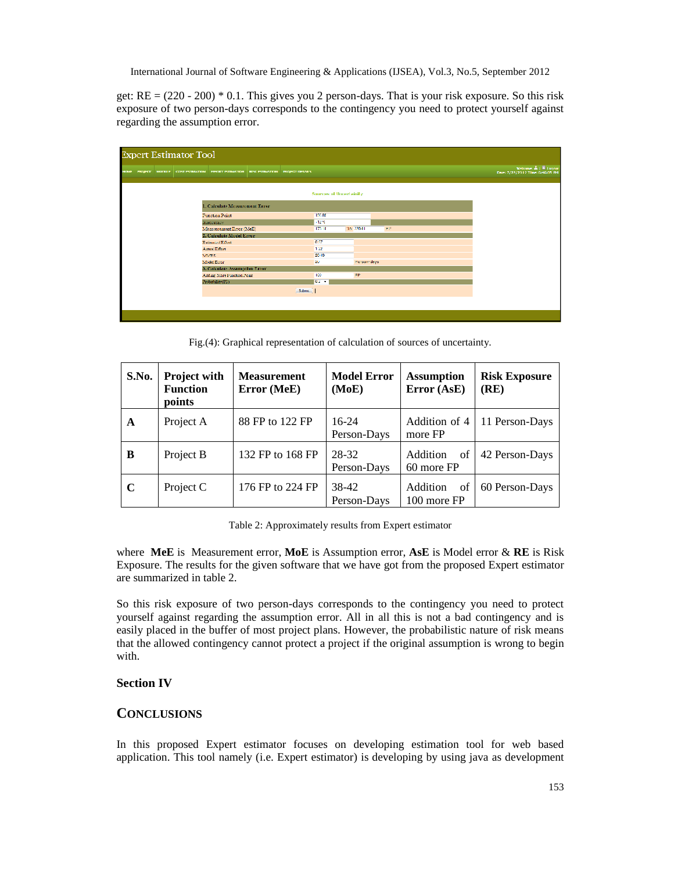get:  $RE = (220 - 200) * 0.1$ . This gives you 2 person-days. That is your risk exposure. So this risk exposure of two person-days corresponds to the contingency you need to protect yourself against regarding the assumption error.

| Sources of those sinily<br>1. Calculate Measurement Error<br>156.80<br>Function Point<br>$+12.5$<br>histopiacy.<br>173 B<br>To: 220-41<br>Measurement Error (MeE)<br><b>PP</b><br>2. Calculate Model Error<br>0.57<br>Estimated Effect<br>Actual Effort<br>122<br>20:49<br>MMRE.<br>20<br>Rerson-days<br>Model Ecror<br>3. Calculate Assumption Error.<br>100<br>FP.<br>Adding More Punction Point<br>Probability(P2)<br>$02 -$<br>Submit |  | HOME PROJECT MODULE COSTESTIMATION EFFORTESTIMATION RISKESTIMATION PROJECTIOFTAILS |  |  |  |  |  |  | Welcome: 4   = Logour<br>Date: 7/22/2012 Time: G46:05 PM |
|-------------------------------------------------------------------------------------------------------------------------------------------------------------------------------------------------------------------------------------------------------------------------------------------------------------------------------------------------------------------------------------------------------------------------------------------|--|------------------------------------------------------------------------------------|--|--|--|--|--|--|----------------------------------------------------------|
|                                                                                                                                                                                                                                                                                                                                                                                                                                           |  |                                                                                    |  |  |  |  |  |  |                                                          |
|                                                                                                                                                                                                                                                                                                                                                                                                                                           |  |                                                                                    |  |  |  |  |  |  |                                                          |
|                                                                                                                                                                                                                                                                                                                                                                                                                                           |  |                                                                                    |  |  |  |  |  |  |                                                          |
|                                                                                                                                                                                                                                                                                                                                                                                                                                           |  |                                                                                    |  |  |  |  |  |  |                                                          |
|                                                                                                                                                                                                                                                                                                                                                                                                                                           |  |                                                                                    |  |  |  |  |  |  |                                                          |
|                                                                                                                                                                                                                                                                                                                                                                                                                                           |  |                                                                                    |  |  |  |  |  |  |                                                          |
|                                                                                                                                                                                                                                                                                                                                                                                                                                           |  |                                                                                    |  |  |  |  |  |  |                                                          |
|                                                                                                                                                                                                                                                                                                                                                                                                                                           |  |                                                                                    |  |  |  |  |  |  |                                                          |
|                                                                                                                                                                                                                                                                                                                                                                                                                                           |  |                                                                                    |  |  |  |  |  |  |                                                          |
|                                                                                                                                                                                                                                                                                                                                                                                                                                           |  |                                                                                    |  |  |  |  |  |  |                                                          |
|                                                                                                                                                                                                                                                                                                                                                                                                                                           |  |                                                                                    |  |  |  |  |  |  |                                                          |
|                                                                                                                                                                                                                                                                                                                                                                                                                                           |  |                                                                                    |  |  |  |  |  |  |                                                          |
|                                                                                                                                                                                                                                                                                                                                                                                                                                           |  |                                                                                    |  |  |  |  |  |  |                                                          |
|                                                                                                                                                                                                                                                                                                                                                                                                                                           |  |                                                                                    |  |  |  |  |  |  |                                                          |
|                                                                                                                                                                                                                                                                                                                                                                                                                                           |  |                                                                                    |  |  |  |  |  |  |                                                          |
|                                                                                                                                                                                                                                                                                                                                                                                                                                           |  |                                                                                    |  |  |  |  |  |  |                                                          |

Fig.(4): Graphical representation of calculation of sources of uncertainty.

| S.No.        | Project with<br><b>Function</b><br>points | <b>Measurement</b><br>Error (MeE) | <b>Model Error</b><br>(MoE) | <b>Assumption</b><br>Error (AsE) | <b>Risk Exposure</b><br>(RE) |
|--------------|-------------------------------------------|-----------------------------------|-----------------------------|----------------------------------|------------------------------|
| $\mathbf{A}$ | Project A                                 | 88 FP to 122 FP                   | $16-24$<br>Person-Days      | Addition of 4<br>more FP         | 11 Person-Days               |
| B            | Project B                                 | 132 FP to 168 FP                  | 28-32<br>Person-Days        | Addition<br>of<br>60 more FP     | 42 Person-Days               |
| $\mathbf C$  | Project C                                 | 176 FP to 224 FP                  | 38-42<br>Person-Days        | Addition<br>of<br>100 more FP    | 60 Person-Days               |

Table 2: Approximately results from Expert estimator

where **MeE** is Measurement error, **MoE** is Assumption error, **AsE** is Model error & **RE** is Risk Exposure. The results for the given software that we have got from the proposed Expert estimator are summarized in table 2.

So this risk exposure of two person-days corresponds to the contingency you need to protect yourself against regarding the assumption error. All in all this is not a bad contingency and is easily placed in the buffer of most project plans. However, the probabilistic nature of risk means that the allowed contingency cannot protect a project if the original assumption is wrong to begin with.

# **Section IV**

# **CONCLUSIONS**

In this proposed Expert estimator focuses on developing estimation tool for web based application. This tool namely (i.e. Expert estimator) is developing by using java as development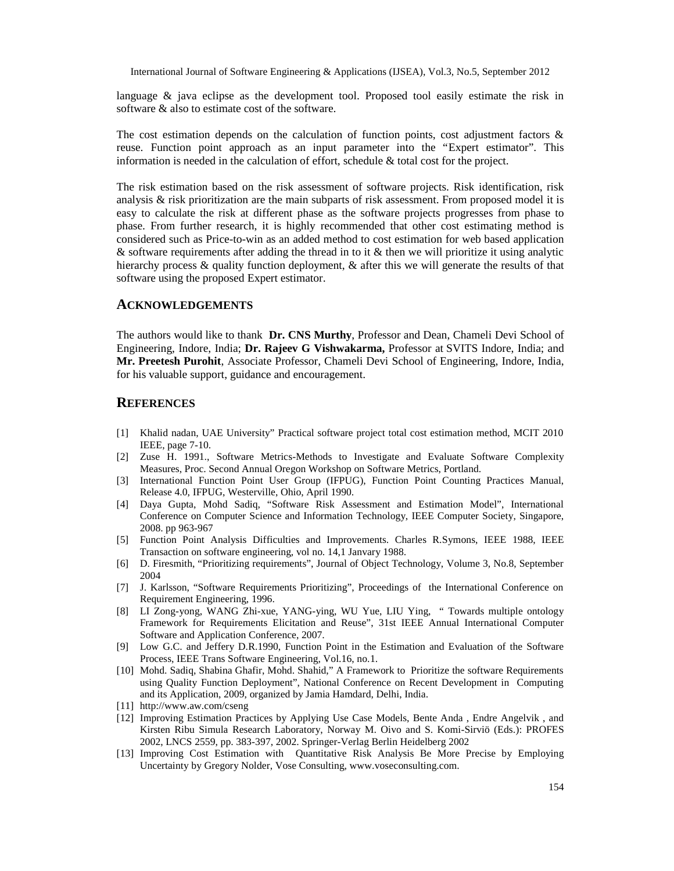language & java eclipse as the development tool. Proposed tool easily estimate the risk in software & also to estimate cost of the software.

The cost estimation depends on the calculation of function points, cost adjustment factors & reuse. Function point approach as an input parameter into  $H$  appert estimator This information is needed in the calation of effort, schedule  $\&$  total cost for the project.

The risk estimation based on the risk assessment of software projects. Risk identification, risk analysis & risk prioritization are the main subparts of risk assessment. From proposed model it is easy to calculate the risk at different phase as the software projects progresses from phase to phase.From further research, it is highly recommended that other cost estimating method is considered such as Prito win as an added method to cost estimation web based application & software requirements after adding the thread in to it & then we will prioritize it using analytic hierarchy process & quality function deployment, & after this we will generate the results of that software using the proposed spert estimator

# ACKNOWLEDGEMENTS

The authors would like to than Dr. CNS Murthy, Professor and Dea Chameli Devi School of Engineering,Indore, India; Dr. Rajeev G Vishwakarma, Professorat SVITS Indore India: and Mr. Preetesh Purohit, Associate Pofessor, Chameli DeviSchool of Engineering ndore, India, for his valuable support guidance and encouragement.

# **REFERENCES**

- [1] Khalid nadan, UAE University• Practical software project total cost estimation method, MCIT 2010 IEEE, page 710.
- [2] Zuse H. 1991., Software MetricMethods to Investigate and Evaluate Software Complexity Measures, Proc. Second Annual Oregon Workshop on Software Metrics, Portland.
- [3] International Function Point User Group (IFPUG), Function Point Counting Practices Manual, Release 4.0, IFPUG, Westerville, Ohio, April 1990.
- [4] Daya Gupta, Mohd Sadiq, €Software Risk Assessment and Estimation Model•, International Conference on Computer Science and Information Technology, IEEE Computer Society, Singapore, 2008. pp 963967
- [5] Function Point Analysis Difficulties and Improvements. Charles R.Symons, IEEE 1988, IEEE Transaction on software engineering, vol no. 14,1 Janvary 1988.
- [6] D. Firesmith, €Prioritizing requirements•, Journal of Object Technology, Volume 3, No.8, September 2004
- [7] J. Karlsson, €Software Requirements Prioritizing•, Proceedings of the International Conference on Requirement Engineering, 1996.
- [8] LI Zong-yong, WANG Zhi-xue, YANG-ying, WU Yue, LIU Ying, € Towards multiple ontology Framework for Requirements Elitation and Reuse•, 31st IEEE Annual International Computer Software and Application Conference, 2007.
- [9] Low G.C. and Jeffery D.R.1990, Function Point in the Estimation and Evaluation of the Software Process, IEEE Trans Software Engineering, Vol.16, no.
- [10] Mohd. Sadiq, Shabina Ghafir, Mohd. Shahid,• A Framework to Prioritize the software Requirements using Quality Function Deployment•, National Conference on Recent Development in Computing and its Application, 2009, organized by Jamia Hamdard, iDleidia.
- [11] [http://www.aw.com/csen](http://www.aw.com/cseng)a
- [12] Improving Estimation Practices by Applying Use Case Models, Bente Anda , Endre Angelvik , and Kirsten Ribu Simula Research Laboratory, Norway M. Oivo and S. Komio (Eds.): PROFES 2002, LNCS 2559, pp. 38397, 2002. Springelverlag Berlin Heidelberg 2002
- [13] Improving Cost Estimation with Quantitative Risk Analysis Be More Precise by Employing Uncertainty by Gregory Nolder, Vose Consulting, www.voseconsulting.com.